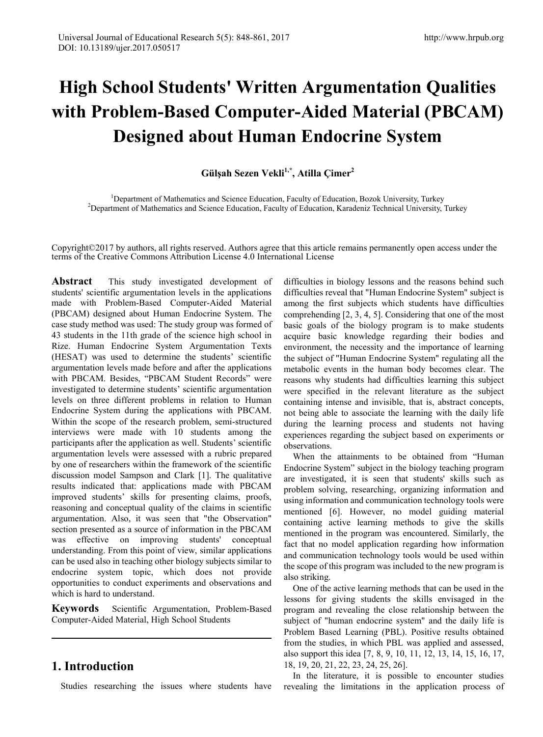# **High School Students' Written Argumentation Qualities with Problem-Based Computer-Aided Material (PBCAM) Designed about Human Endocrine System**

# **Gülşah Sezen Vekli1,\*, Atilla Çimer2**

<sup>1</sup> Department of Mathematics and Science Education, Faculty of Education, Bozok University, Turkey <sup>2</sup> Department of Mathematics and Science Education, Faculty of Education, Karadeniz Technical University <sup>2</sup>Department of Mathematics and Science Education, Faculty of Education, Karadeniz Technical University, Turkey

Copyright©2017 by authors, all rights reserved. Authors agree that this article remains permanently open access under the terms of the Creative Commons Attribution License 4.0 International License

**Abstract** This study investigated development of students' scientific argumentation levels in the applications made with Problem-Based Computer-Aided Material (PBCAM) designed about Human Endocrine System. The case study method was used: The study group was formed of 43 students in the 11th grade of the science high school in Rize. Human Endocrine System Argumentation Texts (HESAT) was used to determine the students' scientific argumentation levels made before and after the applications with PBCAM. Besides, "PBCAM Student Records" were investigated to determine students' scientific argumentation levels on three different problems in relation to Human Endocrine System during the applications with PBCAM. Within the scope of the research problem, semi-structured interviews were made with 10 students among the participants after the application as well. Students' scientific argumentation levels were assessed with a rubric prepared by one of researchers within the framework of the scientific discussion model Sampson and Clark [1]. The qualitative results indicated that: applications made with PBCAM improved students' skills for presenting claims, proofs, reasoning and conceptual quality of the claims in scientific argumentation. Also, it was seen that "the Observation" section presented as a source of information in the PBCAM was effective on improving students' conceptual understanding. From this point of view, similar applications can be used also in teaching other biology subjects similar to endocrine system topic, which does not provide opportunities to conduct experiments and observations and which is hard to understand.

**Keywords** Scientific Argumentation, Problem-Based Computer-Aided Material, High School Students

# **1. Introduction**

Studies researching the issues where students have

difficulties in biology lessons and the reasons behind such difficulties reveal that "Human Endocrine System" subject is among the first subjects which students have difficulties comprehending [2, 3, 4, 5]. Considering that one of the most basic goals of the biology program is to make students acquire basic knowledge regarding their bodies and environment, the necessity and the importance of learning the subject of "Human Endocrine System" regulating all the metabolic events in the human body becomes clear. The reasons why students had difficulties learning this subject were specified in the relevant literature as the subject containing intense and invisible, that is, abstract concepts, not being able to associate the learning with the daily life during the learning process and students not having experiences regarding the subject based on experiments or observations.

When the attainments to be obtained from "Human Endocrine System" subject in the biology teaching program are investigated, it is seen that students' skills such as problem solving, researching, organizing information and using information and communication technology tools were mentioned [6]. However, no model guiding material containing active learning methods to give the skills mentioned in the program was encountered. Similarly, the fact that no model application regarding how information and communication technology tools would be used within the scope of this program was included to the new program is also striking.

One of the active learning methods that can be used in the lessons for giving students the skills envisaged in the program and revealing the close relationship between the subject of "human endocrine system" and the daily life is Problem Based Learning (PBL). Positive results obtained from the studies, in which PBL was applied and assessed, also support this idea [7, 8, 9, 10, 11, 12, 13, 14, 15, 16, 17, 18, 19, 20, 21, 22, 23, 24, 25, 26].

In the literature, it is possible to encounter studies revealing the limitations in the application process of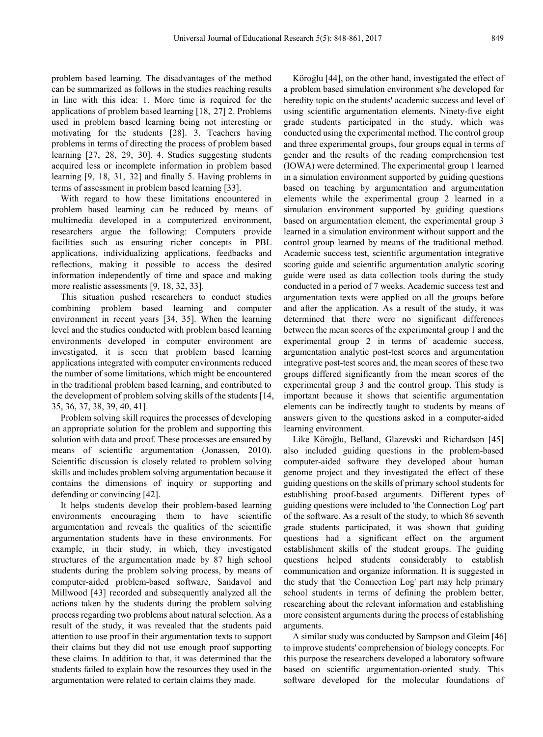problem based learning. The disadvantages of the method can be summarized as follows in the studies reaching results in line with this idea: 1. More time is required for the applications of problem based learning [18, 27] 2. Problems used in problem based learning being not interesting or motivating for the students [28]. 3. Teachers having problems in terms of directing the process of problem based learning [27, 28, 29, 30]. 4. Studies suggesting students acquired less or incomplete information in problem based learning [9, 18, 31, 32] and finally 5. Having problems in terms of assessment in problem based learning [33].

With regard to how these limitations encountered in problem based learning can be reduced by means of multimedia developed in a computerized environment, researchers argue the following: Computers provide facilities such as ensuring richer concepts in PBL applications, individualizing applications, feedbacks and reflections, making it possible to access the desired information independently of time and space and making more realistic assessments [9, 18, 32, 33].

This situation pushed researchers to conduct studies combining problem based learning and computer environment in recent years [34, 35]. When the learning level and the studies conducted with problem based learning environments developed in computer environment are investigated, it is seen that problem based learning applications integrated with computer environments reduced the number of some limitations, which might be encountered in the traditional problem based learning, and contributed to the development of problem solving skills of the students [14, 35, 36, 37, 38, 39, 40, 41].

Problem solving skill requires the processes of developing an appropriate solution for the problem and supporting this solution with data and proof. These processes are ensured by means of scientific argumentation (Jonassen, 2010). Scientific discussion is closely related to problem solving skills and includes problem solving argumentation because it contains the dimensions of inquiry or supporting and defending or convincing [42].

It helps students develop their problem-based learning environments encouraging them to have scientific argumentation and reveals the qualities of the scientific argumentation students have in these environments. For example, in their study, in which, they investigated structures of the argumentation made by 87 high school students during the problem solving process, by means of computer-aided problem-based software, Sandavol and Millwood [43] recorded and subsequently analyzed all the actions taken by the students during the problem solving process regarding two problems about natural selection. As a result of the study, it was revealed that the students paid attention to use proof in their argumentation texts to support their claims but they did not use enough proof supporting these claims. In addition to that, it was determined that the students failed to explain how the resources they used in the argumentation were related to certain claims they made.

Köroğlu [44], on the other hand, investigated the effect of a problem based simulation environment s/he developed for heredity topic on the students' academic success and level of using scientific argumentation elements. Ninety-five eight grade students participated in the study, which was conducted using the experimental method. The control group and three experimental groups, four groups equal in terms of gender and the results of the reading comprehension test (IOWA) were determined. The experimental group 1 learned in a simulation environment supported by guiding questions based on teaching by argumentation and argumentation elements while the experimental group 2 learned in a simulation environment supported by guiding questions based on argumentation element, the experimental group 3 learned in a simulation environment without support and the control group learned by means of the traditional method. Academic success test, scientific argumentation integrative scoring guide and scientific argumentation analytic scoring guide were used as data collection tools during the study conducted in a period of 7 weeks. Academic success test and argumentation texts were applied on all the groups before and after the application. As a result of the study, it was determined that there were no significant differences between the mean scores of the experimental group 1 and the experimental group 2 in terms of academic success, argumentation analytic post-test scores and argumentation integrative post-test scores and, the mean scores of these two groups differed significantly from the mean scores of the experimental group 3 and the control group. This study is important because it shows that scientific argumentation elements can be indirectly taught to students by means of answers given to the questions asked in a computer-aided learning environment.

Like Köroğlu, Belland, Glazevski and Richardson [45] also included guiding questions in the problem-based computer-aided software they developed about human genome project and they investigated the effect of these guiding questions on the skills of primary school students for establishing proof-based arguments. Different types of guiding questions were included to 'the Connection Log' part of the software. As a result of the study, to which 86 seventh grade students participated, it was shown that guiding questions had a significant effect on the argument establishment skills of the student groups. The guiding questions helped students considerably to establish communication and organize information. It is suggested in the study that 'the Connection Log' part may help primary school students in terms of defining the problem better, researching about the relevant information and establishing more consistent arguments during the process of establishing arguments.

A similar study was conducted by Sampson and Gleim [46] to improve students' comprehension of biology concepts. For this purpose the researchers developed a laboratory software based on scientific argumentation-oriented study. This software developed for the molecular foundations of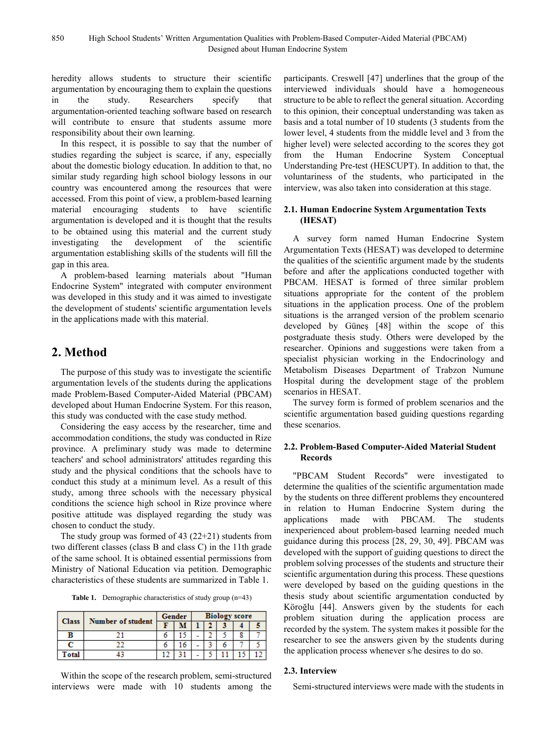heredity allows students to structure their scientific argumentation by encouraging them to explain the questions in the study. Researchers specify that argumentation-oriented teaching software based on research will contribute to ensure that students assume more responsibility about their own learning.

In this respect, it is possible to say that the number of studies regarding the subject is scarce, if any, especially about the domestic biology education. In addition to that, no similar study regarding high school biology lessons in our country was encountered among the resources that were accessed. From this point of view, a problem-based learning material encouraging students to have scientific argumentation is developed and it is thought that the results to be obtained using this material and the current study investigating the development of the scientific argumentation establishing skills of the students will fill the gap in this area.

A problem-based learning materials about "Human Endocrine System" integrated with computer environment was developed in this study and it was aimed to investigate the development of students' scientific argumentation levels in the applications made with this material.

# **2. Method**

The purpose of this study was to investigate the scientific argumentation levels of the students during the applications made Problem-Based Computer-Aided Material (PBCAM) developed about Human Endocrine System. For this reason, this study was conducted with the case study method.

Considering the easy access by the researcher, time and accommodation conditions, the study was conducted in Rize province. A preliminary study was made to determine teachers' and school administrators' attitudes regarding this study and the physical conditions that the schools have to conduct this study at a minimum level. As a result of this study, among three schools with the necessary physical conditions the science high school in Rize province where positive attitude was displayed regarding the study was chosen to conduct the study.

The study group was formed of 43 (22+21) students from two different classes (class B and class C) in the 11th grade of the same school. It is obtained essential permissions from Ministry of National Education via petition. Demographic characteristics of these students are summarized in Table 1.

**Table 1.** Demographic characteristics of study group (n=43)

| <b>Class</b> | Number of student | Gender |  | <b>Biology score</b> |  |  |   |  |
|--------------|-------------------|--------|--|----------------------|--|--|---|--|
|              |                   |        |  |                      |  |  |   |  |
| в            |                   |        |  |                      |  |  | 8 |  |
|              |                   |        |  |                      |  |  |   |  |
| <b>Total</b> |                   |        |  |                      |  |  |   |  |

Within the scope of the research problem, semi-structured interviews were made with 10 students among the participants. Creswell [47] underlines that the group of the interviewed individuals should have a homogeneous structure to be able to reflect the general situation. According to this opinion, their conceptual understanding was taken as basis and a total number of 10 students (3 students from the lower level, 4 students from the middle level and 3 from the higher level) were selected according to the scores they got from the Human Endocrine System Conceptual Understanding Pre-test (HESCUPT). In addition to that, the voluntariness of the students, who participated in the interview, was also taken into consideration at this stage.

#### **2.1. Human Endocrine System Argumentation Texts (HESAT)**

A survey form named Human Endocrine System Argumentation Texts (HESAT) was developed to determine the qualities of the scientific argument made by the students before and after the applications conducted together with PBCAM. HESAT is formed of three similar problem situations appropriate for the content of the problem situations in the application process. One of the problem situations is the arranged version of the problem scenario developed by Güneş [48] within the scope of this postgraduate thesis study. Others were developed by the researcher. Opinions and suggestions were taken from a specialist physician working in the Endocrinology and Metabolism Diseases Department of Trabzon Numune Hospital during the development stage of the problem scenarios in HESAT.

The survey form is formed of problem scenarios and the scientific argumentation based guiding questions regarding these scenarios.

#### **2.2. Problem-Based Computer-Aided Material Student Records**

"PBCAM Student Records" were investigated to determine the qualities of the scientific argumentation made by the students on three different problems they encountered in relation to Human Endocrine System during the applications made with PBCAM. The students inexperienced about problem-based learning needed much guidance during this process [28, 29, 30, 49]. PBCAM was developed with the support of guiding questions to direct the problem solving processes of the students and structure their scientific argumentation during this process. These questions were developed by based on the guiding questions in the thesis study about scientific argumentation conducted by Köroğlu [44]. Answers given by the students for each problem situation during the application process are recorded by the system. The system makes it possible for the researcher to see the answers given by the students during the application process whenever s/he desires to do so.

#### **2.3. Interview**

Semi-structured interviews were made with the students in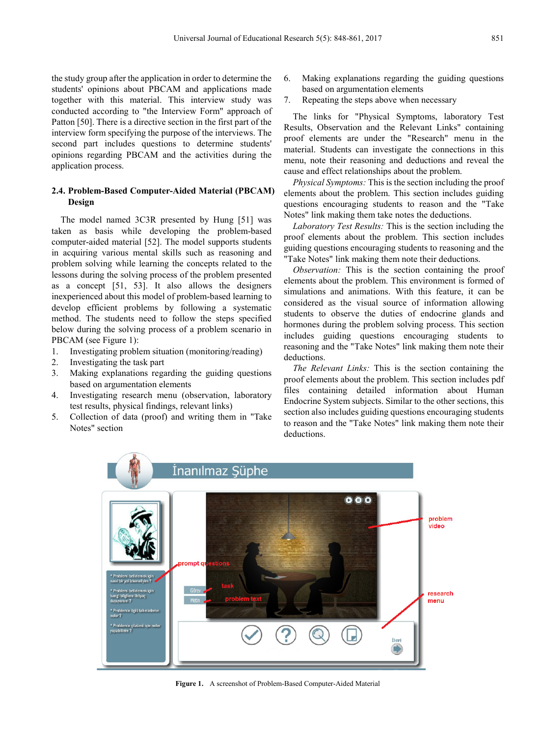the study group after the application in order to determine the students' opinions about PBCAM and applications made together with this material. This interview study was conducted according to "the Interview Form" approach of Patton [50]. There is a directive section in the first part of the interview form specifying the purpose of the interviews. The second part includes questions to determine students' opinions regarding PBCAM and the activities during the application process.

#### **2.4. Problem-Based Computer-Aided Material (PBCAM) Design**

The model named 3C3R presented by Hung [51] was taken as basis while developing the problem-based computer-aided material [52]. The model supports students in acquiring various mental skills such as reasoning and problem solving while learning the concepts related to the lessons during the solving process of the problem presented as a concept [51, 53]. It also allows the designers inexperienced about this model of problem-based learning to develop efficient problems by following a systematic method. The students need to follow the steps specified below during the solving process of a problem scenario in PBCAM (see Figure 1):

- 1. Investigating problem situation (monitoring/reading)
- 2. Investigating the task part
- 3. Making explanations regarding the guiding questions based on argumentation elements
- 4. Investigating research menu (observation, laboratory test results, physical findings, relevant links)
- 5. Collection of data (proof) and writing them in "Take Notes" section
- 6. Making explanations regarding the guiding questions based on argumentation elements
- 7. Repeating the steps above when necessary

The links for "Physical Symptoms, laboratory Test Results, Observation and the Relevant Links" containing proof elements are under the "Research" menu in the material. Students can investigate the connections in this menu, note their reasoning and deductions and reveal the cause and effect relationships about the problem.

*Physical Symptoms:* This is the section including the proof elements about the problem. This section includes guiding questions encouraging students to reason and the "Take Notes" link making them take notes the deductions.

*Laboratory Test Results:* This is the section including the proof elements about the problem. This section includes guiding questions encouraging students to reasoning and the "Take Notes" link making them note their deductions.

*Observation:* This is the section containing the proof elements about the problem. This environment is formed of simulations and animations. With this feature, it can be considered as the visual source of information allowing students to observe the duties of endocrine glands and hormones during the problem solving process. This section includes guiding questions encouraging students to reasoning and the "Take Notes" link making them note their deductions.

*The Relevant Links:* This is the section containing the proof elements about the problem. This section includes pdf files containing detailed information about Human Endocrine System subjects. Similar to the other sections, this section also includes guiding questions encouraging students to reason and the "Take Notes" link making them note their deductions.



**Figure 1.** A screenshot of Problem-Based Computer-Aided Material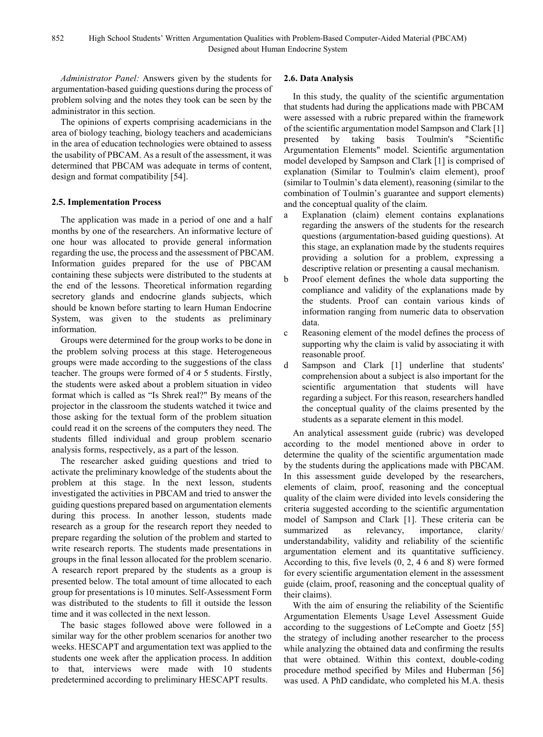*Administrator Panel:* Answers given by the students for argumentation-based guiding questions during the process of problem solving and the notes they took can be seen by the administrator in this section.

The opinions of experts comprising academicians in the area of biology teaching, biology teachers and academicians in the area of education technologies were obtained to assess the usability of PBCAM. As a result of the assessment, it was determined that PBCAM was adequate in terms of content, design and format compatibility [54].

#### **2.5. Implementation Process**

The application was made in a period of one and a half months by one of the researchers. An informative lecture of one hour was allocated to provide general information regarding the use, the process and the assessment of PBCAM. Information guides prepared for the use of PBCAM containing these subjects were distributed to the students at the end of the lessons. Theoretical information regarding secretory glands and endocrine glands subjects, which should be known before starting to learn Human Endocrine System, was given to the students as preliminary information.

Groups were determined for the group works to be done in the problem solving process at this stage. Heterogeneous groups were made according to the suggestions of the class teacher. The groups were formed of 4 or 5 students. Firstly, the students were asked about a problem situation in video format which is called as "Is Shrek real?" By means of the projector in the classroom the students watched it twice and those asking for the textual form of the problem situation could read it on the screens of the computers they need. The students filled individual and group problem scenario analysis forms, respectively, as a part of the lesson.

The researcher asked guiding questions and tried to activate the preliminary knowledge of the students about the problem at this stage. In the next lesson, students investigated the activities in PBCAM and tried to answer the guiding questions prepared based on argumentation elements during this process. In another lesson, students made research as a group for the research report they needed to prepare regarding the solution of the problem and started to write research reports. The students made presentations in groups in the final lesson allocated for the problem scenario. A research report prepared by the students as a group is presented below. The total amount of time allocated to each group for presentations is 10 minutes. Self-Assessment Form was distributed to the students to fill it outside the lesson time and it was collected in the next lesson.

The basic stages followed above were followed in a similar way for the other problem scenarios for another two weeks. HESCAPT and argumentation text was applied to the students one week after the application process. In addition to that, interviews were made with 10 students predetermined according to preliminary HESCAPT results.

#### **2.6. Data Analysis**

In this study, the quality of the scientific argumentation that students had during the applications made with PBCAM were assessed with a rubric prepared within the framework of the scientific argumentation model Sampson and Clark [1] presented by taking basis Toulmin's "Scientific Argumentation Elements" model. Scientific argumentation model developed by Sampson and Clark [1] is comprised of explanation (Similar to Toulmin's claim element), proof (similar to Toulmin's data element), reasoning (similar to the combination of Toulmin's guarantee and support elements) and the conceptual quality of the claim.

- a Explanation (claim) element contains explanations regarding the answers of the students for the research questions (argumentation-based guiding questions). At this stage, an explanation made by the students requires providing a solution for a problem, expressing a descriptive relation or presenting a causal mechanism.
- b Proof element defines the whole data supporting the compliance and validity of the explanations made by the students. Proof can contain various kinds of information ranging from numeric data to observation data.
- c Reasoning element of the model defines the process of supporting why the claim is valid by associating it with reasonable proof.
- d Sampson and Clark [1] underline that students' comprehension about a subject is also important for the scientific argumentation that students will have regarding a subject. For this reason, researchers handled the conceptual quality of the claims presented by the students as a separate element in this model.

An analytical assessment guide (rubric) was developed according to the model mentioned above in order to determine the quality of the scientific argumentation made by the students during the applications made with PBCAM. In this assessment guide developed by the researchers, elements of claim, proof, reasoning and the conceptual quality of the claim were divided into levels considering the criteria suggested according to the scientific argumentation model of Sampson and Clark [1]. These criteria can be summarized as relevancy, importance, clarity/ understandability, validity and reliability of the scientific argumentation element and its quantitative sufficiency. According to this, five levels (0, 2, 4 6 and 8) were formed for every scientific argumentation element in the assessment guide (claim, proof, reasoning and the conceptual quality of their claims).

With the aim of ensuring the reliability of the Scientific Argumentation Elements Usage Level Assessment Guide according to the suggestions of LeCompte and Goetz [55] the strategy of including another researcher to the process while analyzing the obtained data and confirming the results that were obtained. Within this context, double-coding procedure method specified by Miles and Huberman [56] was used. A PhD candidate, who completed his M.A. thesis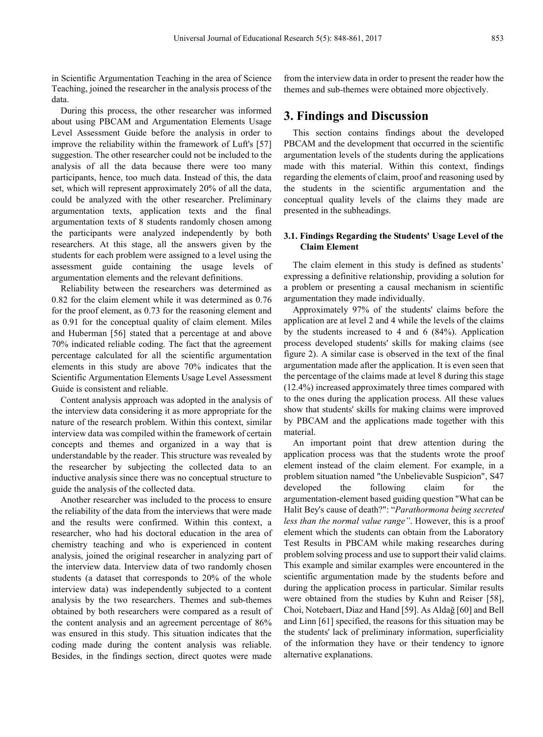in Scientific Argumentation Teaching in the area of Science Teaching, joined the researcher in the analysis process of the data.

During this process, the other researcher was informed about using PBCAM and Argumentation Elements Usage Level Assessment Guide before the analysis in order to improve the reliability within the framework of Luft's [57] suggestion. The other researcher could not be included to the analysis of all the data because there were too many participants, hence, too much data. Instead of this, the data set, which will represent approximately 20% of all the data, could be analyzed with the other researcher. Preliminary argumentation texts, application texts and the final argumentation texts of 8 students randomly chosen among the participants were analyzed independently by both researchers. At this stage, all the answers given by the students for each problem were assigned to a level using the assessment guide containing the usage levels of argumentation elements and the relevant definitions.

Reliability between the researchers was determined as 0.82 for the claim element while it was determined as 0.76 for the proof element, as 0.73 for the reasoning element and as 0.91 for the conceptual quality of claim element. Miles and Huberman [56] stated that a percentage at and above 70% indicated reliable coding. The fact that the agreement percentage calculated for all the scientific argumentation elements in this study are above 70% indicates that the Scientific Argumentation Elements Usage Level Assessment Guide is consistent and reliable.

Content analysis approach was adopted in the analysis of the interview data considering it as more appropriate for the nature of the research problem. Within this context, similar interview data was compiled within the framework of certain concepts and themes and organized in a way that is understandable by the reader. This structure was revealed by the researcher by subjecting the collected data to an inductive analysis since there was no conceptual structure to guide the analysis of the collected data.

Another researcher was included to the process to ensure the reliability of the data from the interviews that were made and the results were confirmed. Within this context, a researcher, who had his doctoral education in the area of chemistry teaching and who is experienced in content analysis, joined the original researcher in analyzing part of the interview data. Interview data of two randomly chosen students (a dataset that corresponds to 20% of the whole interview data) was independently subjected to a content analysis by the two researchers. Themes and sub-themes obtained by both researchers were compared as a result of the content analysis and an agreement percentage of 86% was ensured in this study. This situation indicates that the coding made during the content analysis was reliable. Besides, in the findings section, direct quotes were made

from the interview data in order to present the reader how the themes and sub-themes were obtained more objectively.

### **3. Findings and Discussion**

This section contains findings about the developed PBCAM and the development that occurred in the scientific argumentation levels of the students during the applications made with this material. Within this context, findings regarding the elements of claim, proof and reasoning used by the students in the scientific argumentation and the conceptual quality levels of the claims they made are presented in the subheadings.

#### **3.1. Findings Regarding the Students' Usage Level of the Claim Element**

The claim element in this study is defined as students' expressing a definitive relationship, providing a solution for a problem or presenting a causal mechanism in scientific argumentation they made individually.

Approximately 97% of the students' claims before the application are at level 2 and 4 while the levels of the claims by the students increased to 4 and 6 (84%). Application process developed students' skills for making claims (see figure 2). A similar case is observed in the text of the final argumentation made after the application. It is even seen that the percentage of the claims made at level 8 during this stage (12.4%) increased approximately three times compared with to the ones during the application process. All these values show that students' skills for making claims were improved by PBCAM and the applications made together with this material.

An important point that drew attention during the application process was that the students wrote the proof element instead of the claim element. For example, in a problem situation named "the Unbelievable Suspicion", S47 developed the following claim for the argumentation-element based guiding question "What can be Halit Bey's cause of death?": "*Parathormona being secreted less than the normal value range"*. However, this is a proof element which the students can obtain from the Laboratory Test Results in PBCAM while making researches during problem solving process and use to support their valid claims. This example and similar examples were encountered in the scientific argumentation made by the students before and during the application process in particular. Similar results were obtained from the studies by Kuhn and Reiser [58], Choi, Notebaert, Diaz and Hand [59]. As Aldağ [60] and Bell and Linn [61] specified, the reasons for this situation may be the students' lack of preliminary information, superficiality of the information they have or their tendency to ignore alternative explanations.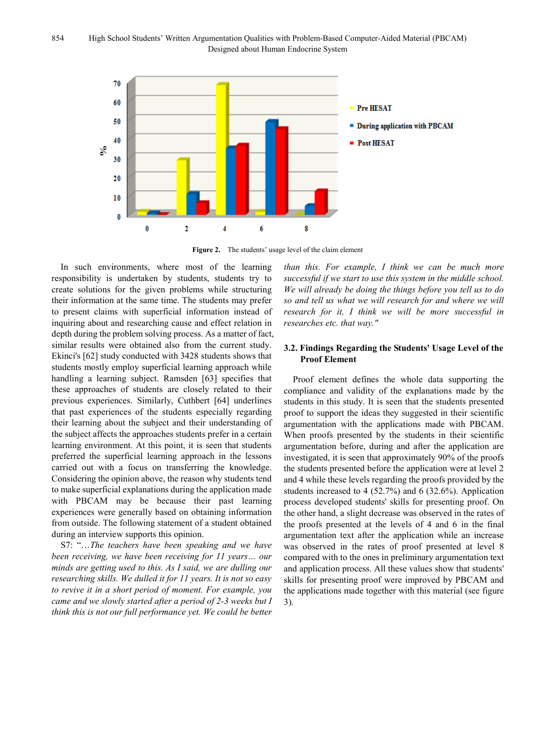

**Figure 2.** The students' usage level of the claim element

In such environments, where most of the learning responsibility is undertaken by students, students try to create solutions for the given problems while structuring their information at the same time. The students may prefer to present claims with superficial information instead of inquiring about and researching cause and effect relation in depth during the problem solving process. As a matter of fact, similar results were obtained also from the current study. Ekinci's [62] study conducted with 3428 students shows that students mostly employ superficial learning approach while handling a learning subject. Ramsden [63] specifies that these approaches of students are closely related to their previous experiences. Similarly, Cuthbert [64] underlines that past experiences of the students especially regarding their learning about the subject and their understanding of the subject affects the approaches students prefer in a certain learning environment. At this point, it is seen that students preferred the superficial learning approach in the lessons carried out with a focus on transferring the knowledge. Considering the opinion above, the reason why students tend to make superficial explanations during the application made with PBCAM may be because their past learning experiences were generally based on obtaining information from outside. The following statement of a student obtained during an interview supports this opinion.

S7: "…*The teachers have been speaking and we have been receiving, we have been receiving for 11 years… our minds are getting used to this. As I said, we are dulling our researching skills. We dulled it for 11 years. It is not so easy to revive it in a short period of moment. For example, you came and we slowly started after a period of 2-3 weeks but I think this is not our full performance yet. We could be better*  *than this. For example, I think we can be much more successful if we start to use this system in the middle school. We will already be doing the things before you tell us to do so and tell us what we will research for and where we will research for it, I think we will be more successful in researches etc. that way."*

#### **3.2. Findings Regarding the Students' Usage Level of the Proof Element**

Proof element defines the whole data supporting the compliance and validity of the explanations made by the students in this study. It is seen that the students presented proof to support the ideas they suggested in their scientific argumentation with the applications made with PBCAM. When proofs presented by the students in their scientific argumentation before, during and after the application are investigated, it is seen that approximately 90% of the proofs the students presented before the application were at level 2 and 4 while these levels regarding the proofs provided by the students increased to 4 (52.7%) and 6 (32.6%). Application process developed students' skills for presenting proof. On the other hand, a slight decrease was observed in the rates of the proofs presented at the levels of 4 and 6 in the final argumentation text after the application while an increase was observed in the rates of proof presented at level 8 compared with to the ones in preliminary argumentation text and application process. All these values show that students' skills for presenting proof were improved by PBCAM and the applications made together with this material (see figure 3).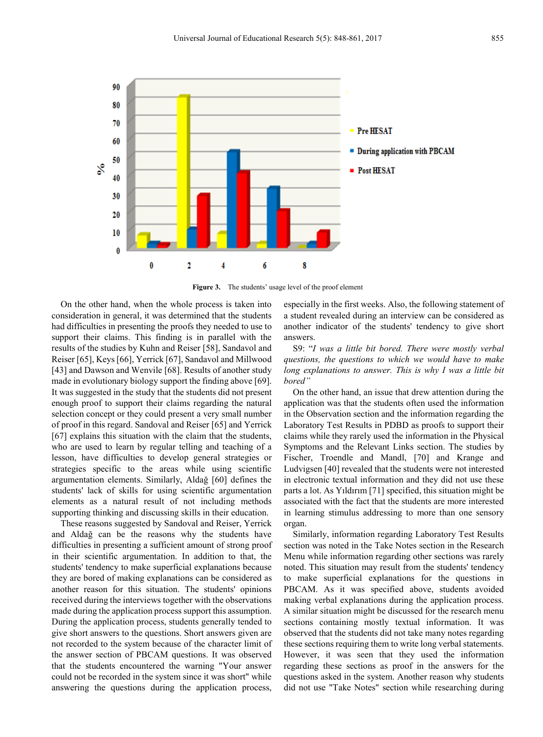

**Figure 3.** The students' usage level of the proof element

On the other hand, when the whole process is taken into consideration in general, it was determined that the students had difficulties in presenting the proofs they needed to use to support their claims. This finding is in parallel with the results of the studies by Kuhn and Reiser [58], Sandavol and Reiser [65], Keys [66], Yerrick [67], Sandavol and Millwood [43] and Dawson and Wenvile [68]. Results of another study made in evolutionary biology support the finding above [69]. It was suggested in the study that the students did not present enough proof to support their claims regarding the natural selection concept or they could present a very small number of proof in this regard. Sandoval and Reiser [65] and Yerrick [67] explains this situation with the claim that the students, who are used to learn by regular telling and teaching of a lesson, have difficulties to develop general strategies or strategies specific to the areas while using scientific argumentation elements. Similarly, Aldağ [60] defines the students' lack of skills for using scientific argumentation elements as a natural result of not including methods supporting thinking and discussing skills in their education.

These reasons suggested by Sandoval and Reiser, Yerrick and Aldağ can be the reasons why the students have difficulties in presenting a sufficient amount of strong proof in their scientific argumentation. In addition to that, the students' tendency to make superficial explanations because they are bored of making explanations can be considered as another reason for this situation. The students' opinions received during the interviews together with the observations made during the application process support this assumption. During the application process, students generally tended to give short answers to the questions. Short answers given are not recorded to the system because of the character limit of the answer section of PBCAM questions. It was observed that the students encountered the warning "Your answer could not be recorded in the system since it was short" while answering the questions during the application process,

especially in the first weeks. Also, the following statement of a student revealed during an interview can be considered as another indicator of the students' tendency to give short answers.

S9: "*I was a little bit bored. There were mostly verbal questions, the questions to which we would have to make long explanations to answer. This is why I was a little bit bored"*

On the other hand, an issue that drew attention during the application was that the students often used the information in the Observation section and the information regarding the Laboratory Test Results in PDBD as proofs to support their claims while they rarely used the information in the Physical Symptoms and the Relevant Links section. The studies by Fischer, Troendle and Mandl, [70] and Krange and Ludvigsen [40] revealed that the students were not interested in electronic textual information and they did not use these parts a lot. As Yıldırım [71] specified, this situation might be associated with the fact that the students are more interested in learning stimulus addressing to more than one sensory organ.

Similarly, information regarding Laboratory Test Results section was noted in the Take Notes section in the Research Menu while information regarding other sections was rarely noted. This situation may result from the students' tendency to make superficial explanations for the questions in PBCAM. As it was specified above, students avoided making verbal explanations during the application process. A similar situation might be discussed for the research menu sections containing mostly textual information. It was observed that the students did not take many notes regarding these sections requiring them to write long verbal statements. However, it was seen that they used the information regarding these sections as proof in the answers for the questions asked in the system. Another reason why students did not use "Take Notes" section while researching during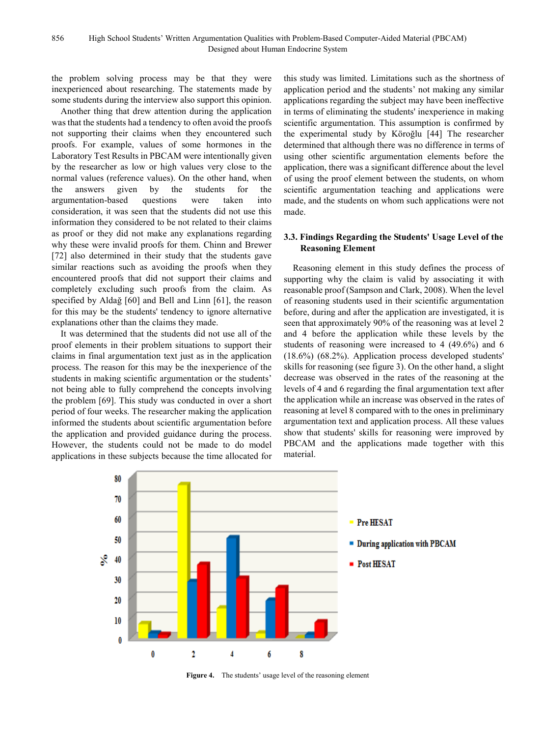the problem solving process may be that they were inexperienced about researching. The statements made by some students during the interview also support this opinion.

Another thing that drew attention during the application was that the students had a tendency to often avoid the proofs not supporting their claims when they encountered such proofs. For example, values of some hormones in the Laboratory Test Results in PBCAM were intentionally given by the researcher as low or high values very close to the normal values (reference values). On the other hand, when the answers given by the students for the argumentation-based questions were taken into consideration, it was seen that the students did not use this information they considered to be not related to their claims as proof or they did not make any explanations regarding why these were invalid proofs for them. Chinn and Brewer [72] also determined in their study that the students gave similar reactions such as avoiding the proofs when they encountered proofs that did not support their claims and completely excluding such proofs from the claim. As specified by Aldağ [60] and Bell and Linn [61], the reason for this may be the students' tendency to ignore alternative explanations other than the claims they made.

It was determined that the students did not use all of the proof elements in their problem situations to support their claims in final argumentation text just as in the application process. The reason for this may be the inexperience of the students in making scientific argumentation or the students' not being able to fully comprehend the concepts involving the problem [69]. This study was conducted in over a short period of four weeks. The researcher making the application informed the students about scientific argumentation before the application and provided guidance during the process. However, the students could not be made to do model applications in these subjects because the time allocated for this study was limited. Limitations such as the shortness of application period and the students' not making any similar applications regarding the subject may have been ineffective in terms of eliminating the students' inexperience in making scientific argumentation. This assumption is confirmed by the experimental study by Köroğlu [44] The researcher determined that although there was no difference in terms of using other scientific argumentation elements before the application, there was a significant difference about the level of using the proof element between the students, on whom scientific argumentation teaching and applications were made, and the students on whom such applications were not made.

#### **3.3. Findings Regarding the Students' Usage Level of the Reasoning Element**

Reasoning element in this study defines the process of supporting why the claim is valid by associating it with reasonable proof (Sampson and Clark, 2008). When the level of reasoning students used in their scientific argumentation before, during and after the application are investigated, it is seen that approximately 90% of the reasoning was at level 2 and 4 before the application while these levels by the students of reasoning were increased to 4 (49.6%) and 6 (18.6%) (68.2%). Application process developed students' skills for reasoning (see figure 3). On the other hand, a slight decrease was observed in the rates of the reasoning at the levels of 4 and 6 regarding the final argumentation text after the application while an increase was observed in the rates of reasoning at level 8 compared with to the ones in preliminary argumentation text and application process. All these values show that students' skills for reasoning were improved by PBCAM and the applications made together with this material.



**Figure 4.** The students' usage level of the reasoning element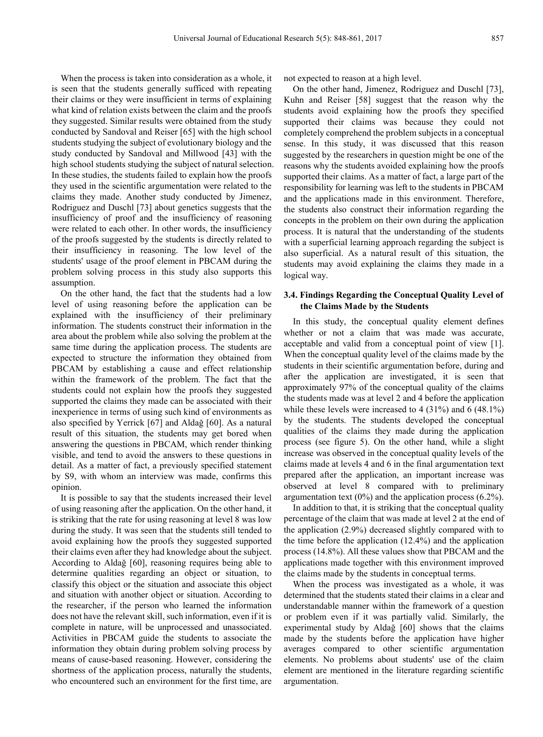When the process is taken into consideration as a whole, it is seen that the students generally sufficed with repeating their claims or they were insufficient in terms of explaining what kind of relation exists between the claim and the proofs they suggested. Similar results were obtained from the study conducted by Sandoval and Reiser [65] with the high school students studying the subject of evolutionary biology and the study conducted by Sandoval and Millwood [43] with the high school students studying the subject of natural selection. In these studies, the students failed to explain how the proofs they used in the scientific argumentation were related to the claims they made. Another study conducted by Jimenez, Rodriguez and Duschl [73] about genetics suggests that the insufficiency of proof and the insufficiency of reasoning were related to each other. In other words, the insufficiency of the proofs suggested by the students is directly related to their insufficiency in reasoning. The low level of the students' usage of the proof element in PBCAM during the problem solving process in this study also supports this assumption.

On the other hand, the fact that the students had a low level of using reasoning before the application can be explained with the insufficiency of their preliminary information. The students construct their information in the area about the problem while also solving the problem at the same time during the application process. The students are expected to structure the information they obtained from PBCAM by establishing a cause and effect relationship within the framework of the problem. The fact that the students could not explain how the proofs they suggested supported the claims they made can be associated with their inexperience in terms of using such kind of environments as also specified by Yerrick [67] and Aldağ [60]. As a natural result of this situation, the students may get bored when answering the questions in PBCAM, which render thinking visible, and tend to avoid the answers to these questions in detail. As a matter of fact, a previously specified statement by S9, with whom an interview was made, confirms this opinion.

It is possible to say that the students increased their level of using reasoning after the application. On the other hand, it is striking that the rate for using reasoning at level 8 was low during the study. It was seen that the students still tended to avoid explaining how the proofs they suggested supported their claims even after they had knowledge about the subject. According to Aldağ [60], reasoning requires being able to determine qualities regarding an object or situation, to classify this object or the situation and associate this object and situation with another object or situation. According to the researcher, if the person who learned the information does not have the relevant skill, such information, even if it is complete in nature, will be unprocessed and unassociated. Activities in PBCAM guide the students to associate the information they obtain during problem solving process by means of cause-based reasoning. However, considering the shortness of the application process, naturally the students, who encountered such an environment for the first time, are

not expected to reason at a high level.

On the other hand, Jimenez, Rodriguez and Duschl [73], Kuhn and Reiser [58] suggest that the reason why the students avoid explaining how the proofs they specified supported their claims was because they could not completely comprehend the problem subjects in a conceptual sense. In this study, it was discussed that this reason suggested by the researchers in question might be one of the reasons why the students avoided explaining how the proofs supported their claims. As a matter of fact, a large part of the responsibility for learning was left to the students in PBCAM and the applications made in this environment. Therefore, the students also construct their information regarding the concepts in the problem on their own during the application process. It is natural that the understanding of the students with a superficial learning approach regarding the subject is also superficial. As a natural result of this situation, the students may avoid explaining the claims they made in a logical way.

#### **3.4. Findings Regarding the Conceptual Quality Level of the Claims Made by the Students**

In this study, the conceptual quality element defines whether or not a claim that was made was accurate, acceptable and valid from a conceptual point of view [1]. When the conceptual quality level of the claims made by the students in their scientific argumentation before, during and after the application are investigated, it is seen that approximately 97% of the conceptual quality of the claims the students made was at level 2 and 4 before the application while these levels were increased to 4 (31%) and 6 (48.1%) by the students. The students developed the conceptual qualities of the claims they made during the application process (see figure 5). On the other hand, while a slight increase was observed in the conceptual quality levels of the claims made at levels 4 and 6 in the final argumentation text prepared after the application, an important increase was observed at level 8 compared with to preliminary argumentation text  $(0\%)$  and the application process  $(6.2\%)$ .

In addition to that, it is striking that the conceptual quality percentage of the claim that was made at level 2 at the end of the application (2.9%) decreased slightly compared with to the time before the application (12.4%) and the application process (14.8%). All these values show that PBCAM and the applications made together with this environment improved the claims made by the students in conceptual terms.

When the process was investigated as a whole, it was determined that the students stated their claims in a clear and understandable manner within the framework of a question or problem even if it was partially valid. Similarly, the experimental study by Aldağ [60] shows that the claims made by the students before the application have higher averages compared to other scientific argumentation elements. No problems about students' use of the claim element are mentioned in the literature regarding scientific argumentation.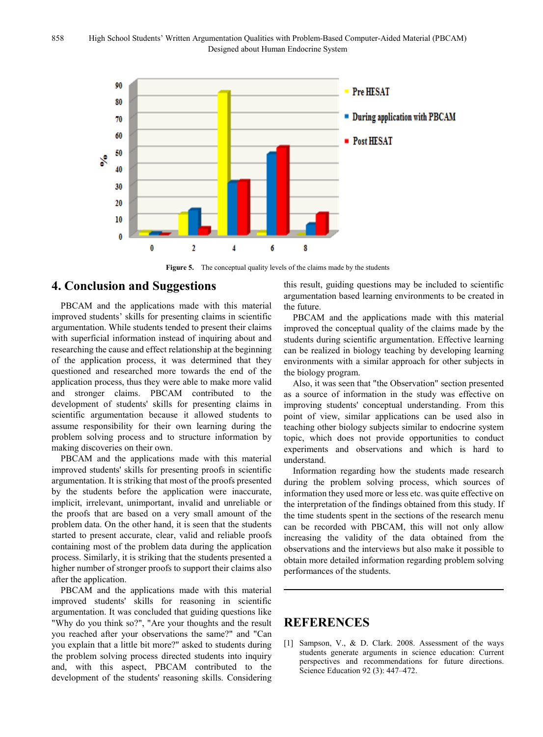

**Figure 5.** The conceptual quality levels of the claims made by the students

## **4. Conclusion and Suggestions**

PBCAM and the applications made with this material improved students' skills for presenting claims in scientific argumentation. While students tended to present their claims with superficial information instead of inquiring about and researching the cause and effect relationship at the beginning of the application process, it was determined that they questioned and researched more towards the end of the application process, thus they were able to make more valid and stronger claims. PBCAM contributed to the development of students' skills for presenting claims in scientific argumentation because it allowed students to assume responsibility for their own learning during the problem solving process and to structure information by making discoveries on their own.

PBCAM and the applications made with this material improved students' skills for presenting proofs in scientific argumentation. It is striking that most of the proofs presented by the students before the application were inaccurate, implicit, irrelevant, unimportant, invalid and unreliable or the proofs that are based on a very small amount of the problem data. On the other hand, it is seen that the students started to present accurate, clear, valid and reliable proofs containing most of the problem data during the application process. Similarly, it is striking that the students presented a higher number of stronger proofs to support their claims also after the application.

PBCAM and the applications made with this material improved students' skills for reasoning in scientific argumentation. It was concluded that guiding questions like "Why do you think so?", "Are your thoughts and the result you reached after your observations the same?" and "Can you explain that a little bit more?" asked to students during the problem solving process directed students into inquiry and, with this aspect, PBCAM contributed to the development of the students' reasoning skills. Considering this result, guiding questions may be included to scientific argumentation based learning environments to be created in the future.

PBCAM and the applications made with this material improved the conceptual quality of the claims made by the students during scientific argumentation. Effective learning can be realized in biology teaching by developing learning environments with a similar approach for other subjects in the biology program.

Also, it was seen that "the Observation" section presented as a source of information in the study was effective on improving students' conceptual understanding. From this point of view, similar applications can be used also in teaching other biology subjects similar to endocrine system topic, which does not provide opportunities to conduct experiments and observations and which is hard to understand.

Information regarding how the students made research during the problem solving process, which sources of information they used more or less etc. was quite effective on the interpretation of the findings obtained from this study. If the time students spent in the sections of the research menu can be recorded with PBCAM, this will not only allow increasing the validity of the data obtained from the observations and the interviews but also make it possible to obtain more detailed information regarding problem solving performances of the students.

## **REFERENCES**

[1] Sampson, V., & D. Clark. 2008. Assessment of the ways students generate arguments in science education: Current perspectives and recommendations for future directions. Science Education 92 (3): 447–472.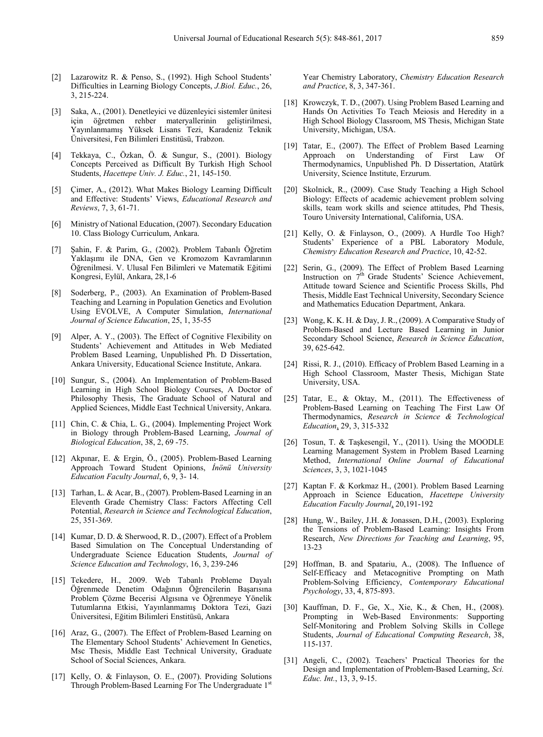- [2] Lazarowitz R. & Penso, S., (1992). High School Students' Difficulties in Learning Biology Concepts, *J.Biol. Educ.*, 26, 3, 215-224.
- [3] Saka, A., (2001). Denetleyici ve düzenleyici sistemler ünitesi için öğretmen rehber materyallerinin geliştirilmesi, Yayınlanmamış Yüksek Lisans Tezi, Karadeniz Teknik Üniversitesi, Fen Bilimleri Enstitüsü, Trabzon.
- [4] Tekkaya, C., Özkan, Ö. & Sungur, S., (2001). Biology Concepts Perceived as Difficult By Turkish High School Students, *Hacettepe Univ. J. Educ.*, 21, 145-150.
- [5] Cimer, A., (2012). What Makes Biology Learning Difficult and Effective: Students' Views, *Educational Research and Reviews*, 7, 3, 61-71.
- [6] Ministry of National Education, (2007). Secondary Education 10. Class Biology Curriculum, Ankara.
- [7] Şahin, F. & Parim, G., (2002). Problem Tabanlı Öğretim Yaklaşımı ile DNA, Gen ve Kromozom Kavramlarının Öğrenilmesi. V. Ulusal Fen Bilimleri ve Matematik Eğitimi Kongresi, Eylül, Ankara, 28,1-6
- [8] Soderberg, P., (2003). An Examination of Problem-Based Teaching and Learning in Population Genetics and Evolution Using EVOLVE, A Computer Simulation, *International Journal of Science Education*, 25, 1, 35-55
- [9] Alper, A. Y., (2003). The Effect of Cognitive Flexibility on Students' Achievement and Attitudes in Web Mediated Problem Based Learning, Unpublished Ph. D Dissertation, Ankara University, Educational Science Institute, Ankara.
- [10] Sungur, S., (2004). An Implementation of Problem-Based Learning in High School Biology Courses, A Doctor of Philosophy Thesis, The Graduate School of Natural and Applied Sciences, Middle East Technical University, Ankara.
- [11] Chin, C. & Chia, L. G., (2004). Implementing Project Work in Biology through Problem-Based Learning, *Journal of Biological Education*, 38, 2, 69 -75.
- [12] Akpınar, E. & Ergin, Ö., (2005). Problem-Based Learning Approach Toward Student Opinions, *İnönü University Education Faculty Journal*, 6, 9, 3- 14.
- [13] Tarhan, L. & Acar, B., (2007). Problem-Based Learning in an Eleventh Grade Chemistry Class: Factors Affecting Cell Potential, *Research in Science and Technological Education*, 25, 351-369.
- [14] Kumar, D. D. & Sherwood, R. D., (2007). Effect of a Problem Based Simulation on The Conceptual Understanding of Undergraduate Science Education Students, *Journal of Science Education and Technology*, 16, 3, 239-246
- [15] Tekedere, H., 2009. Web Tabanlı Probleme Dayalı Öğrenmede Denetim Odağının Öğrencilerin Başarısına Problem Çözme Becerisi Algısına ve Öğrenmeye Yönelik Tutumlarına Etkisi, Yayınlanmamış Doktora Tezi, Gazi Üniversitesi, Eğitim Bilimleri Enstitüsü, Ankara
- [16] Araz, G., (2007). The Effect of Problem-Based Learning on The Elementary School Students' Achievement In Genetics, Msc Thesis, Middle East Technical University, Graduate School of Social Sciences, Ankara.
- [17] Kelly, O. & Finlayson, O. E., (2007). Providing Solutions Through Problem-Based Learning For The Undergraduate 1<sup>st</sup>

Year Chemistry Laboratory, *Chemistry Education Research and Practice*, 8, 3, 347-361.

- [18] Krowczyk, T. D., (2007). Using Problem Based Learning and Hands On Activities To Teach Meiosis and Heredity in a High School Biology Classroom, MS Thesis, Michigan State University, Michigan, USA.
- [19] Tatar, E., (2007). The Effect of Problem Based Learning Approach on Understanding of First Law Of Thermodynamics, Unpublished Ph. D Dissertation, Atatürk University, Science Institute, Erzurum.
- [20] Skolnick, R., (2009). Case Study Teaching a High School Biology: Effects of academic achievement problem solving skills, team work skills and science attitudes, Phd Thesis, Touro University International, California, USA.
- [21] Kelly, O. & Finlayson, O., (2009). A Hurdle Too High? Students' Experience of a PBL Laboratory Module, *Chemistry Education Research and Practice*, 10, 42-52.
- [22] Serin, G., (2009). The Effect of Problem Based Learning Instruction on 7<sup>th</sup> Grade Students' Science Achievement, Attitude toward Science and Scientific Process Skills, Phd Thesis, Middle East Technical University, Secondary Science and Mathematics Education Department, Ankara.
- [23] Wong, K. K. H. & Day, J. R., (2009). A Comparative Study of Problem-Based and Lecture Based Learning in Junior Secondary School Science, *Research in Science Education*, 39, 625-642.
- [24] Rissi, R. J., (2010). Efficacy of Problem Based Learning in a High School Classroom, Master Thesis, Michigan State University, USA.
- [25] Tatar, E., & Oktay, M., (2011). The Effectiveness of Problem-Based Learning on Teaching The First Law Of Thermodynamics, *Research in Science & Technological Education*, 29, 3, 315-332
- [26] Tosun, T. & Taşkesengil, Y., (2011). Using the MOODLE Learning Management System in Problem Based Learning Method, *International Online Journal of Educational Sciences*, 3, 3, 1021-1045
- [27] Kaptan F. & Korkmaz H., (2001). Problem Based Learning Approach in Science Education, *Hacettepe University Education Faculty Journal*, 20,191-192
- [28] Hung, W., Bailey, J.H. & Jonassen, D.H., (2003). Exploring the Tensions of Problem-Based Learning: Insights From Research, *New Directions for Teaching and Learning*, 95, 13-23
- [29] Hoffman, B. and Spatariu, A., (2008). The Influence of Self-Efficacy and Metacognitive Prompting on Math Problem-Solving Efficiency, *Contemporary Educational Psychology*, 33, 4, 875-893.
- [30] Kauffman, D. F., Ge, X., Xie, K., & Chen, H., (2008). Prompting in Web-Based Environments: Supporting Self-Monitoring and Problem Solving Skills in College Students, *Journal of Educational Computing Research*, 38, 115-137.
- [31] Angeli, C., (2002). Teachers' Practical Theories for the Design and Implementation of Problem-Based Learning, *Sci. Educ. Int.*, 13, 3, 9-15.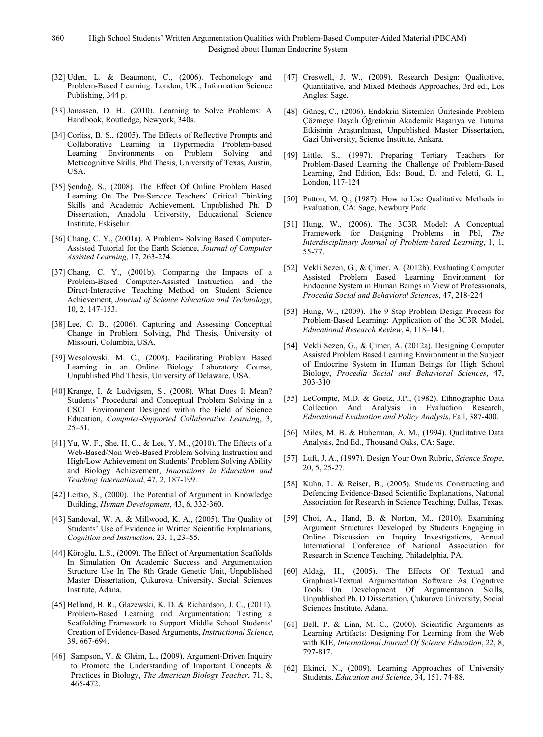- [32] Uden, L. & Beaumont, C., (2006). Techonology and Problem-Based Learning. London, UK., Information Science Publishing, 344 p.
- [33] Jonassen, D. H., (2010). Learning to Solve Problems: A Handbook, Routledge, Newyork, 340s.
- [34] Corliss, B. S., (2005). The Effects of Reflective Prompts and Collaborative Learning in Hypermedia Problem-based Learning Environments on Problem Solving and Metacognitive Skills, Phd Thesis, University of Texas, Austin, USA.
- [35] Şendağ, S., (2008). The Effect Of Online Problem Based Learning On The Pre-Service Teachers' Critical Thinking Skills and Academic Achievement, Unpublished Ph. D Dissertation, Anadolu University, Educational Science Institute, Eskişehir.
- [36] Chang, C. Y., (2001a). A Problem- Solving Based Computer-Assisted Tutorial for the Earth Science, *Journal of Computer Assisted Learning*, 17, 263-274.
- [37] Chang, C. Y., (2001b). Comparing the Impacts of a Problem-Based Computer-Assisted Instruction and the Direct-Interactive Teaching Method on Student Science Achievement, *Journal of Science Education and Technology*, 10, 2, 147-153.
- [38] Lee, C. B., (2006). Capturing and Assessing Conceptual Change in Problem Solving, Phd Thesis, University of Missouri, Columbia, USA.
- [39] Wesolowski, M. C., (2008). Facilitating Problem Based Learning in an Online Biology Laboratory Course, Unpublished Phd Thesis, University of Delaware, USA.
- [40] Krange, I. & Ludvigsen, S., (2008). What Does It Mean? Students' Procedural and Conceptual Problem Solving in a CSCL Environment Designed within the Field of Science Education, *Computer-Supported Collaborative Learning*, 3, 25–51.
- [41] Yu, W. F., She, H. C., & Lee, Y. M., (2010). The Effects of a Web-Based/Non Web-Based Problem Solving Instruction and High/Low Achievement on Students' Problem Solving Ability and Biology Achievement, *Innovations in Education and Teaching International*, 47, 2, 187-199.
- [42] Leitao, S., (2000). The Potential of Argument in Knowledge Building, *Human Development*, 43, 6, 332-360.
- [43] Sandoval, W. A. & Millwood, K. A., (2005). The Quality of Students' Use of Evidence in Written Scientific Explanations, *Cognition and Instruction*, 23, 1, 23–55.
- [44] Köroğlu, L.S., (2009). The Effect of Argumentation Scaffolds In Simulation On Academic Success and Argumentation Structure Use In The 8th Grade Genetic Unit, Unpublished Master Dissertation, Çukurova University, Social Sciences Institute, Adana.
- [45] Belland, B. R., Glazewski, K. D. & Richardson, J. C., (2011). Problem-Based Learning and Argumentation: Testing a Scaffolding Framework to Support Middle School Students' Creation of Evidence-Based Arguments, *Instructional Science*, 39, 667-694.
- [46] Sampson, V. & Gleim, L., (2009). Argument-Driven Inquiry to Promote the Understanding of Important Concepts & Practices in Biology, *The American Biology Teacher*, 71, 8, 465-472.
- [47] Creswell, J. W., (2009). Research Design: Qualitative, Quantitative, and Mixed Methods Approaches, 3rd ed., Los Angles: Sage.
- [48] Güneş, C., (2006). Endokrin Sistemleri Ünitesinde Problem Çözmeye Dayalı Öğretimin Akademik Başarıya ve Tutuma Etkisinin Araştırılması, Unpublished Master Dissertation, Gazi University, Science Institute, Ankara.
- [49] Little, S., (1997). Preparing Tertiary Teachers for Problem-Based Learning the Challenge of Problem-Based Learning, 2nd Edition, Eds: Boud, D. and Feletti, G. I., London, 117-124
- [50] Patton, M. Q., (1987). How to Use Qualitative Methods in Evaluation, CA: Sage, Newbury Park.
- [51] Hung, W., (2006). The 3C3R Model: A Conceptual Framework for Designing Problems in Pbl, *The Interdisciplinary Journal of Problem-based Learning*, 1, 1, 55-77.
- [52] Vekli Sezen, G., & Çimer, A. (2012b). Evaluating Computer Assisted Problem Based Learning Environment for Endocrine System in Human Beings in View of Professionals, *Procedia Social and Behavioral Sciences*, 47, 218-224
- [53] Hung, W., (2009). The 9-Step Problem Design Process for Problem-Based Learning: Application of the 3C3R Model, *Educational Research Review*, 4, 118–141.
- [54] Vekli Sezen, G., & Çimer, A. (2012a). Designing Computer Assisted Problem Based Learning Environment in the Subject of Endocrine System in Human Beings for High School Biology, *Procedia Social and Behavioral Sciences*, 47, 303-310
- [55] LeCompte, M.D. & Goetz, J.P., (1982). Ethnographic Data Collection And Analysis in Evaluation Research, *Educational Evaluation and Policy Analysis*, Fall, 387-400.
- [56] Miles, M. B. & Huberman, A. M., (1994). Qualitative Data Analysis, 2nd Ed., Thousand Oaks, CA: Sage.
- [57] Luft, J. A., (1997). Design Your Own Rubric, *Science Scope*, 20, 5, 25-27.
- [58] Kuhn, L. & Reiser, B., (2005). Students Constructing and Defending Evidence-Based Scientific Explanations, National Association for Research in Science Teaching, Dallas, Texas.
- [59] Choi, A., Hand, B. & Norton, M.. (2010). Examining Argument Structures Developed by Students Engaging in Online Discussion on Inquiry Investigations, Annual International Conference of National Association for Research in Science Teaching, Philadelphia, PA.
- [60] Aldağ, H., (2005). The Effects Of Textual and Graphıcal-Textual Argumentatıon Software As Cognıtıve Tools On Development Of Argumentatıon Skılls, Unpublished Ph. D Dissertation, Çukurova University, Social Sciences Institute, Adana.
- [61] Bell, P. & Linn, M. C., (2000). Scientific Arguments as Learning Artifacts: Designing For Learning from the Web with KIE, *International Journal Of Science Education*, 22, 8, 797-817.
- [62] Ekinci, N., (2009). Learning Approaches of University Students, *Education and Science*, 34, 151, 74-88.